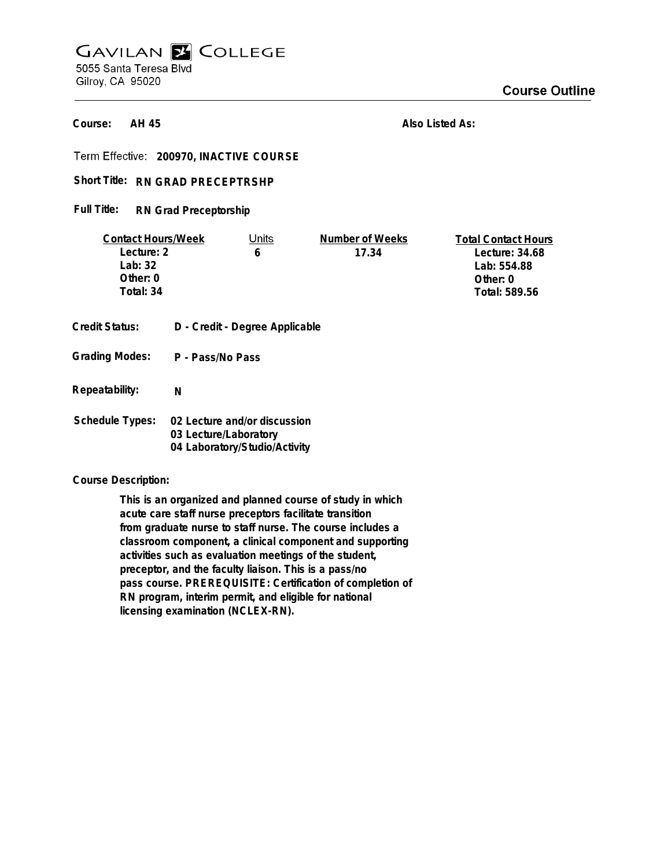# **GAVILAN E COLLEGE** 5055 Santa Teresa Blvd

Gilroy, CA 95020

**AH 45 Course:**

**Also Listed As:**

**200970, INACTIVE COURSE**

# Short Title: RN GRAD PRECEPTRSHP

#### **RN Grad Preceptorship Full Title:**

| <b>Contact Hours/Week</b> |                       | Units                          | Number of Weeks | <b>Total Contact Hours</b> |
|---------------------------|-----------------------|--------------------------------|-----------------|----------------------------|
| Lecture: 2                |                       | 6                              | 17.34           | Lecture: 34.68             |
| Lab: $32$                 |                       |                                |                 | Lab: 554.88                |
| Other: 0                  |                       |                                |                 | Other: 0                   |
| Total: 34                 |                       |                                |                 | Total: 589.56              |
|                           |                       |                                |                 |                            |
| Credit Status:            |                       | D - Credit - Degree Applicable |                 |                            |
| <b>Grading Modes:</b>     | P - Pass/No Pass      |                                |                 |                            |
| Repeatability:            | N                     |                                |                 |                            |
| <b>Schedule Types:</b>    |                       | 02 Lecture and/or discussion   |                 |                            |
|                           | 03 Lecture/Laboratory |                                |                 |                            |
|                           |                       | 04 Laboratory/Studio/Activity  |                 |                            |

### **Course Description:**

**This is an organized and planned course of study in which acute care staff nurse preceptors facilitate transition from graduate nurse to staff nurse. The course includes a classroom component, a clinical component and supporting activities such as evaluation meetings of the student, preceptor, and the faculty liaison. This is a pass/no pass course. PREREQUISITE: Certification of completion of RN program, interim permit, and eligible for national licensing examination (NCLEX-RN).**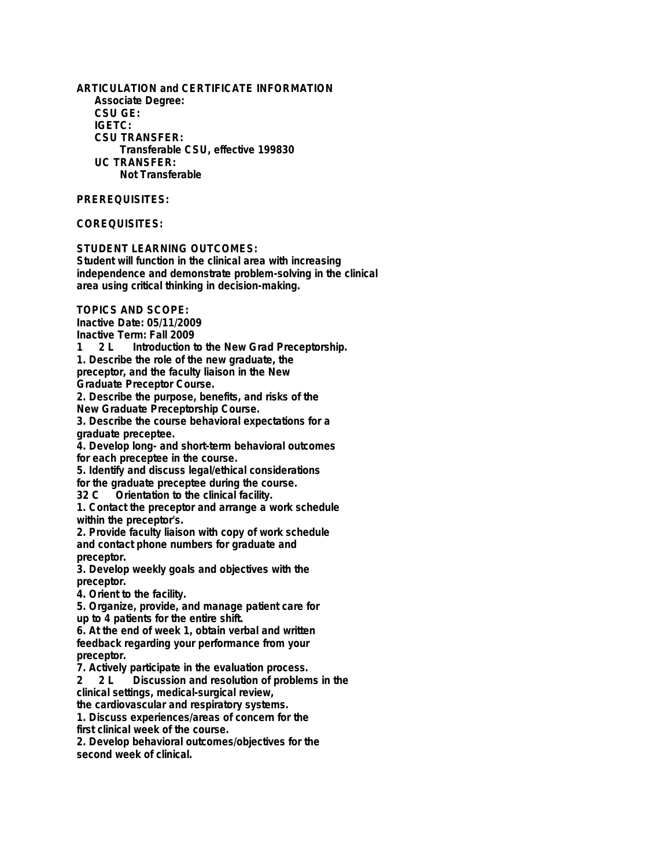**ARTICULATION and CERTIFICATE INFORMATION Associate Degree: CSU GE: IGETC: CSU TRANSFER: Transferable CSU, effective 199830 UC TRANSFER: Not Transferable**

**PREREQUISITES:**

**COREQUISITES:**

**STUDENT LEARNING OUTCOMES:**

**Student will function in the clinical area with increasing independence and demonstrate problem-solving in the clinical area using critical thinking in decision-making.**

**TOPICS AND SCOPE:**

**Inactive Date: 05/11/2009**

**Inactive Term: Fall 2009**

**1 2 L Introduction to the New Grad Preceptorship. 1. Describe the role of the new graduate, the**

**preceptor, and the faculty liaison in the New**

**Graduate Preceptor Course.**

**2. Describe the purpose, benefits, and risks of the New Graduate Preceptorship Course.**

**3. Describe the course behavioral expectations for a graduate preceptee.**

**4. Develop long- and short-term behavioral outcomes for each preceptee in the course.**

**5. Identify and discuss legal/ethical considerations**

**for the graduate preceptee during the course.**

**32 C Orientation to the clinical facility. 1. Contact the preceptor and arrange a work schedule**

**within the preceptor's.**

**2. Provide faculty liaison with copy of work schedule and contact phone numbers for graduate and preceptor.**

**3. Develop weekly goals and objectives with the preceptor.**

**4. Orient to the facility.**

**5. Organize, provide, and manage patient care for up to 4 patients for the entire shift.**

**6. At the end of week 1, obtain verbal and written feedback regarding your performance from your preceptor.**

**7. Actively participate in the evaluation process.**

**2 2 L Discussion and resolution of problems in the clinical settings, medical-surgical review,**

**the cardiovascular and respiratory systems. 1. Discuss experiences/areas of concern for the first clinical week of the course.**

**2. Develop behavioral outcomes/objectives for the second week of clinical.**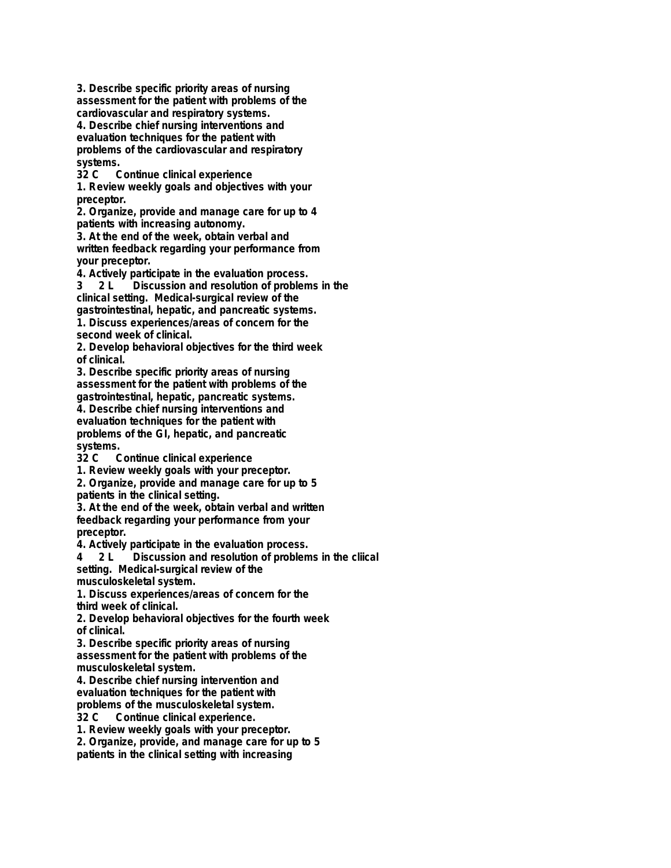**3. Describe specific priority areas of nursing assessment for the patient with problems of the cardiovascular and respiratory systems.**

**4. Describe chief nursing interventions and evaluation techniques for the patient with problems of the cardiovascular and respiratory** systems.<br>32 C C

**32 C Continue clinical experience**

**1. Review weekly goals and objectives with your preceptor.**

**2. Organize, provide and manage care for up to 4 patients with increasing autonomy.**

**3. At the end of the week, obtain verbal and written feedback regarding your performance from your preceptor.**

**4. Actively participate in the evaluation process.**

**3 2 L Discussion and resolution of problems in the clinical setting. Medical-surgical review of the gastrointestinal, hepatic, and pancreatic systems. 1. Discuss experiences/areas of concern for the**

**second week of clinical.**

**2. Develop behavioral objectives for the third week of clinical.**

**3. Describe specific priority areas of nursing assessment for the patient with problems of the gastrointestinal, hepatic, pancreatic systems.**

**4. Describe chief nursing interventions and evaluation techniques for the patient with problems of the GI, hepatic, and pancreatic** systems.<br>32 C C

**32 C Continue clinical experience**

**1. Review weekly goals with your preceptor.**

**2. Organize, provide and manage care for up to 5 patients in the clinical setting.**

**3. At the end of the week, obtain verbal and written feedback regarding your performance from your preceptor.**

**4. Actively participate in the evaluation process.**

**4 2 L Discussion and resolution of problems in the cliical setting. Medical-surgical review of the**

**musculoskeletal system.**

**1. Discuss experiences/areas of concern for the third week of clinical.**

**2. Develop behavioral objectives for the fourth week of clinical.**

**3. Describe specific priority areas of nursing assessment for the patient with problems of the musculoskeletal system.**

**4. Describe chief nursing intervention and evaluation techniques for the patient with problems of the musculoskeletal system.**

**32 C Continue clinical experience.**

**1. Review weekly goals with your preceptor.**

**2. Organize, provide, and manage care for up to 5 patients in the clinical setting with increasing**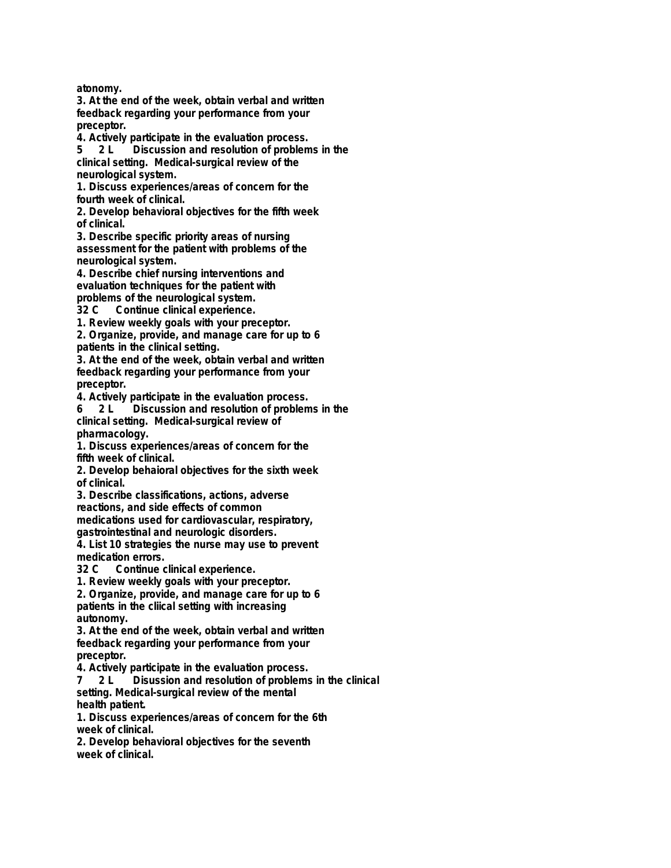**atonomy.**

**3. At the end of the week, obtain verbal and written feedback regarding your performance from your preceptor.**

**4. Actively participate in the evaluation process.**

**5 2 L Discussion and resolution of problems in the clinical setting. Medical-surgical review of the neurological system.**

**1. Discuss experiences/areas of concern for the fourth week of clinical.**

**2. Develop behavioral objectives for the fifth week of clinical.**

**3. Describe specific priority areas of nursing assessment for the patient with problems of the neurological system.**

**4. Describe chief nursing interventions and evaluation techniques for the patient with problems of the neurological system.**

**32 C Continue clinical experience.**

**1. Review weekly goals with your preceptor.**

**2. Organize, provide, and manage care for up to 6 patients in the clinical setting.**

**3. At the end of the week, obtain verbal and written feedback regarding your performance from your preceptor.**

**4. Actively participate in the evaluation process. 6 2 L Discussion and resolution of problems in the clinical setting. Medical-surgical review of pharmacology.**

**1. Discuss experiences/areas of concern for the fifth week of clinical.**

**2. Develop behaioral objectives for the sixth week of clinical.**

**3. Describe classifications, actions, adverse reactions, and side effects of common medications used for cardiovascular, respiratory,**

**gastrointestinal and neurologic disorders.**

**4. List 10 strategies the nurse may use to prevent medication errors.**

**32 C Continue clinical experience.**

**1. Review weekly goals with your preceptor.**

**2. Organize, provide, and manage care for up to 6 patients in the cliical setting with increasing autonomy.**

**3. At the end of the week, obtain verbal and written feedback regarding your performance from your preceptor.**

**4. Actively participate in the evaluation process.**

**7 2 L Disussion and resolution of problems in the clinical setting. Medical-surgical review of the mental health patient.**

**1. Discuss experiences/areas of concern for the 6th week of clinical.**

**2. Develop behavioral objectives for the seventh week of clinical.**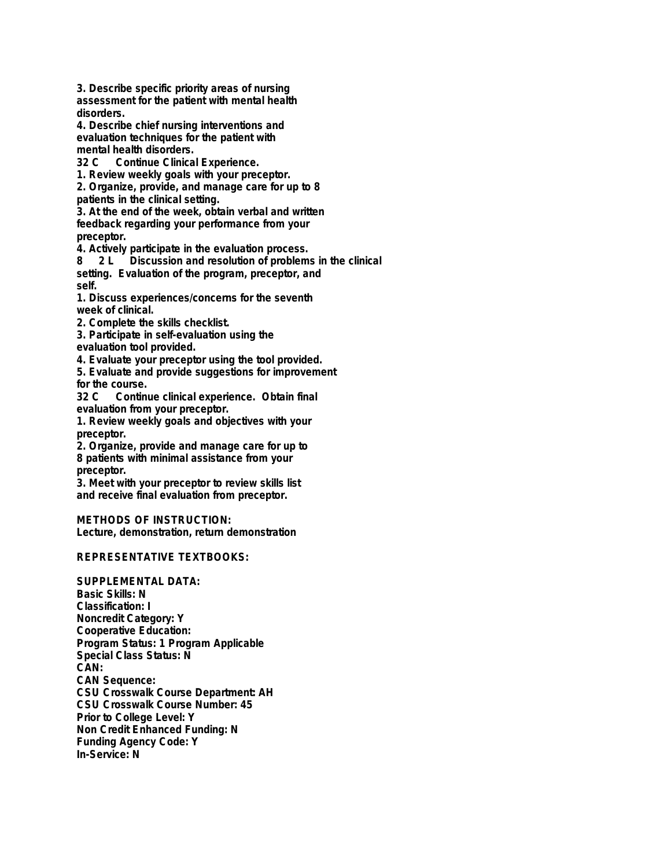**3. Describe specific priority areas of nursing assessment for the patient with mental health disorders.**

**4. Describe chief nursing interventions and evaluation techniques for the patient with mental health disorders.**

**32 C Continue Clinical Experience.**

**1. Review weekly goals with your preceptor.**

**2. Organize, provide, and manage care for up to 8 patients in the clinical setting.**

**3. At the end of the week, obtain verbal and written feedback regarding your performance from your preceptor.**

**4. Actively participate in the evaluation process.**

**8 2 L Discussion and resolution of problems in the clinical setting. Evaluation of the program, preceptor, and self.**

**1. Discuss experiences/concerns for the seventh week of clinical.**

**2. Complete the skills checklist.**

**3. Participate in self-evaluation using the evaluation tool provided.**

**4. Evaluate your preceptor using the tool provided.**

**5. Evaluate and provide suggestions for improvement for the course.**

**32 C Continue clinical experience. Obtain final evaluation from your preceptor.**

**1. Review weekly goals and objectives with your preceptor.**

**2. Organize, provide and manage care for up to 8 patients with minimal assistance from your preceptor.**

**3. Meet with your preceptor to review skills list and receive final evaluation from preceptor.**

**METHODS OF INSTRUCTION: Lecture, demonstration, return demonstration**

## **REPRESENTATIVE TEXTBOOKS:**

**SUPPLEMENTAL DATA: Basic Skills: N Classification: I Noncredit Category: Y Cooperative Education: Program Status: 1 Program Applicable Special Class Status: N CAN: CAN Sequence: CSU Crosswalk Course Department: AH CSU Crosswalk Course Number: 45 Prior to College Level: Y Non Credit Enhanced Funding: N Funding Agency Code: Y In-Service: N**